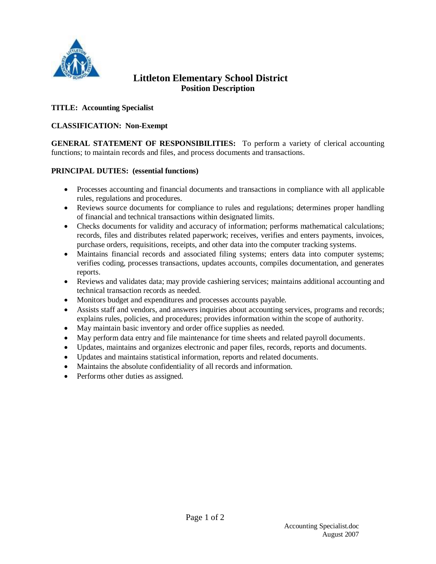

# **Littleton Elementary School District Position Description**

## **TITLE: Accounting Specialist**

## **CLASSIFICATION: Non-Exempt**

**GENERAL STATEMENT OF RESPONSIBILITIES:** To perform a variety of clerical accounting functions; to maintain records and files, and process documents and transactions.

#### **PRINCIPAL DUTIES: (essential functions)**

- Processes accounting and financial documents and transactions in compliance with all applicable rules, regulations and procedures.
- Reviews source documents for compliance to rules and regulations; determines proper handling of financial and technical transactions within designated limits.
- Checks documents for validity and accuracy of information; performs mathematical calculations; records, files and distributes related paperwork; receives, verifies and enters payments, invoices, purchase orders, requisitions, receipts, and other data into the computer tracking systems.
- Maintains financial records and associated filing systems; enters data into computer systems; verifies coding, processes transactions, updates accounts, compiles documentation, and generates reports.
- Reviews and validates data; may provide cashiering services; maintains additional accounting and technical transaction records as needed.
- Monitors budget and expenditures and processes accounts payable.
- Assists staff and vendors, and answers inquiries about accounting services, programs and records; explains rules, policies, and procedures; provides information within the scope of authority.
- May maintain basic inventory and order office supplies as needed.
- May perform data entry and file maintenance for time sheets and related payroll documents.
- Updates, maintains and organizes electronic and paper files, records, reports and documents.
- Updates and maintains statistical information, reports and related documents.
- Maintains the absolute confidentiality of all records and information.
- Performs other duties as assigned.